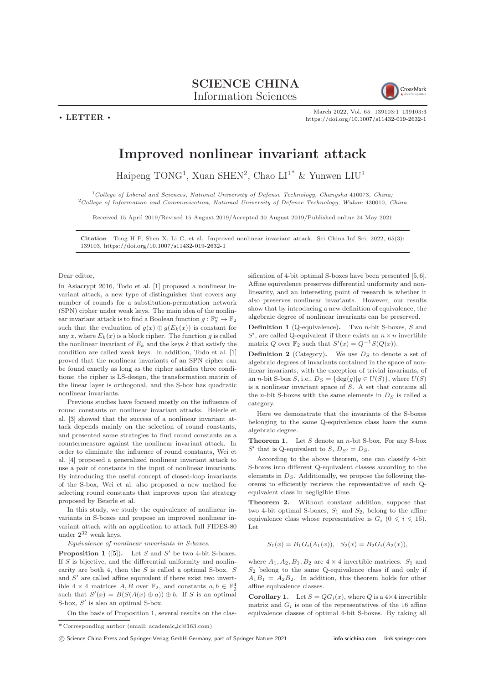## SCIENCE CHINA

Information Sciences

CrossMark

March 2022, Vol. 65 139103:1–139103[:3](#page-2-0) <https://doi.org/10.1007/s11432-019-2632-1>

## Improved nonlinear invariant attack

Haipeng TONG<sup>1</sup>, Xuan SHEN<sup>2</sup>, Chao LI<sup>1\*</sup> & Yunwen LIU<sup>1</sup>

 $1$ College of Liberal and Sciences, National University of Defense Technology, Changsha 410073, China;  $2^2$ College of Information and Communication, National University of Defense Technology, Wuhan 430010, China

Received 15 April 2019/Revised 15 August 2019/Accepted 30 August 2019/Published online 24 May 2021

Citation Tong H P, Shen X, Li C, et al. Improved nonlinear invariant attack. Sci China Inf Sci, 2022, 65(3): 139103, <https://doi.org/10.1007/s11432-019-2632-1>

## Dear editor,

 $\cdot$  LETTER  $\cdot$ 

In Asiacrypt 2016, Todo et al. [\[1\]](#page-2-1) proposed a nonlinear invariant attack, a new type of distinguisher that covers any number of rounds for a substitution-permutation network (SPN) cipher under weak keys. The main idea of the nonlinear invariant attack is to find a Boolean function  $g: \mathbb{F}_2^n \to \mathbb{F}_2$ such that the evaluation of  $g(x) \oplus g(E_k(x))$  is constant for any x, where  $E_k(x)$  is a block cipher. The function g is called the nonlinear invariant of  $E_k$  and the keys k that satisfy the condition are called weak keys. In addition, Todo et al. [\[1\]](#page-2-1) proved that the nonlinear invariants of an SPN cipher can be found exactly as long as the cipher satisfies three conditions: the cipher is LS-design, the transformation matrix of the linear layer is orthogonal, and the S-box has quadratic nonlinear invariants.

Previous studies have focused mostly on the influence of round constants on nonlinear invariant attacks. Beierle et al. [\[3\]](#page-2-2) showed that the success of a nonlinear invariant attack depends mainly on the selection of round constants, and presented some strategies to find round constants as a countermeasure against the nonlinear invariant attack. In order to eliminate the influence of round constants, Wei et al. [\[4\]](#page-2-3) proposed a generalized nonlinear invariant attack to use a pair of constants in the input of nonlinear invariants. By introducing the useful concept of closed-loop invariants of the S-box, Wei et al. also proposed a new method for selecting round constants that improves upon the strategy proposed by Beierle et al.

In this study, we study the equivalence of nonlinear invariants in S-boxes and propose an improved nonlinear invariant attack with an application to attack full FIDES-80 under  $2^{32}$  weak keys.

Equivalence of nonlinear invariants in S-boxes.

<span id="page-0-0"></span>**Proposition 1** ([\[5\]](#page-2-4)). Let S and S' be two 4-bit S-boxes. If  $S$  is bijective, and the differential uniformity and nonlinearity are both 4, then the  $S$  is called a optimal S-box.  $S$ and  $S'$  are called affine equivalent if there exist two invertible  $4 \times 4$  matrices  $A, B$  over  $\mathbb{F}_2$ , and constants  $a, b \in \mathbb{F}_2^4$ such that  $S'(x) = B(S(A(x) \oplus a)) \oplus b$ . If S is an optimal S-box,  $S'$  is also an optimal S-box.

On the basis of Proposition [1,](#page-0-0) several results on the clas-

sification of 4-bit optimal S-boxes have been presented [\[5,](#page-2-4)[6\]](#page-2-5). Affine equivalence preserves differential uniformity and nonlinearity, and an interesting point of research is whether it also preserves nonlinear invariants. However, our results show that by introducing a new definition of equivalence, the algebraic degree of nonlinear invariants can be preserved.

**Definition 1** (Q-equivalence). Two *n*-bit S-boxes,  $S$  and S', are called Q-equivalent if there exists an  $n \times n$  invertible matrix Q over  $\mathbb{F}_2$  such that  $S'(x) = Q^{-1}S(Q(x)).$ 

**Definition 2** (Category). We use  $D<sub>S</sub>$  to denote a set of algebraic degrees of invariants contained in the space of nonlinear invariants, with the exception of trivial invariants, of an n-bit S-box S, i.e.,  $D_S = {\deg(g)|g \in U(S)}$ , where  $U(S)$ is a nonlinear invariant space of S. A set that contains all the *n*-bit S-boxes with the same elements in  $D<sub>S</sub>$  is called a category.

Here we demonstrate that the invariants of the S-boxes belonging to the same Q-equivalence class have the same algebraic degree.

**Theorem 1.** Let  $S$  denote an  $n$ -bit S-box. For any S-box S' that is Q-equivalent to S,  $D_{S'} = D_S$ .

According to the above theorem, one can classify 4-bit S-boxes into different Q-equivalent classes according to the elements in  $D_S$ . Additionally, we propose the following theorems to efficiently retrieve the representative of each Qequivalent class in negligible time.

Theorem 2. Without constant addition, suppose that two 4-bit optimal S-boxes,  $S_1$  and  $S_2$ , belong to the affine equivalence class whose representative is  $G_i$  ( $0 \leq i \leq 15$ ). Let

$$
S_1(x) = B_1 G_i(A_1(x)), \quad S_2(x) = B_2 G_i(A_2(x)),
$$

where  $A_1, A_2, B_1, B_2$  are  $4 \times 4$  invertible matrices.  $S_1$  and  $S_2$  belong to the same Q-equivalence class if and only if  $A_1B_1 = A_2B_2$ . In addition, this theorem holds for other affine equivalence classes.

**Corollary 1.** Let  $S = QG_i(x)$ , where Q is a  $4 \times 4$  invertible matrix and  $G_i$  is one of the representatives of the 16 affine equivalence classes of optimal 4-bit S-boxes. By taking all

<sup>\*</sup> Corresponding author (email: academic lc@163.com)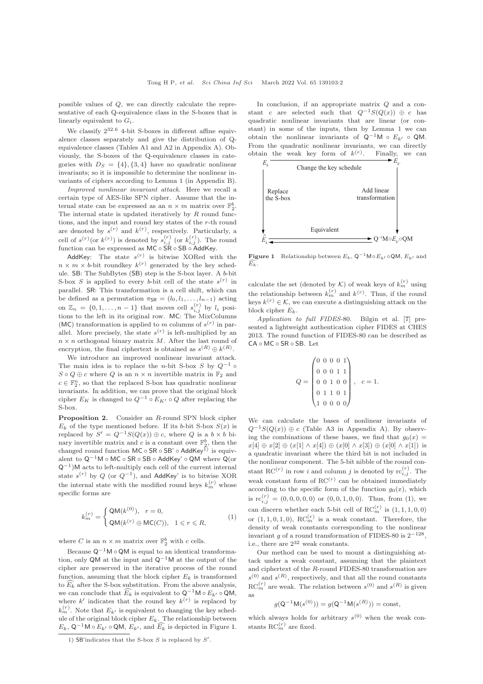possible values of Q, we can directly calculate the representative of each Q-equivalence class in the S-boxes that is linearly equivalent to  $G_i$ .

We classify  $2^{32.6}$  4-bit S-boxes in different affine equivalence classes separately and give the distribution of Qequivalence classes (Tables A1 and A2 in Appendix A). Obviously, the S-boxes of the Q-equivalence classes in categories with  $D_S = \{4\}, \{3, 4\}$  have no quadratic nonlinear invariants; so it is impossible to determine the nonlinear invariants of ciphers according to Lemma 1 (in Appendix B).

Improved nonlinear invariant attack. Here we recall a certain type of AES-like SPN cipher. Assume that the internal state can be expressed as an  $n \times m$  matrix over  $\mathbb{F}_2^b$ . The internal state is updated iteratively by  $R$  round functions, and the input and round key states of the r-th round are denoted by  $s^{(r)}$  and  $k^{(r)}$ , respectively. Particularly, a cell of  $s^{(r)}$  (or  $k^{(r)}$ ) is denoted by  $s^{(r)}_{i,j}$  (or  $k^{(r)}_{i,j}$ ). The round function can be expressed as MC ◦ SR ◦ SB ◦ AddKey.

AddKey: The state  $s^{(r)}$  is bitwise XORed with the  $n \times m \times b$ -bit roundkey  $k^{(r)}$  generated by the key schedule. SB: The SubBytes (SB) step is the S-box layer. A b-bit S-box S is applied to every b-bit cell of the state  $s^{(r)}$  in parallel. SR: This transformation is a cell shift, which can be defined as a permutation  $\pi_{SR} = (l_0, l_1, \ldots, l_{n-1})$  acting on  $\mathbb{Z}_n = \{0, 1, \ldots, n-1\}$  that moves cell  $s_{i,j}^{(r)}$  by  $l_i$  positions to the left in its original row. MC: The MixColumns (MC) transformation is applied to m columns of  $s^{(r)}$  in parallel. More precisely, the state  $s^{(r)}$  is left-multiplied by an  $n \times n$  orthogonal binary matrix M. After the last round of encryption, the final ciphertext is obtained as  $s^{(R)} \oplus k^{(R)}$ .

We introduce an improved nonlinear invariant attack. The main idea is to replace the n-bit S-box S by  $Q^{-1}$  ∘  $S \circ Q \oplus c$  where Q is an  $n \times n$  invertible matrix in  $\mathbb{F}_2$  and  $c \in \mathbb{F}_2^n,$  so that the replaced S-box has quadratic nonlinear invariants. In addition, we can prove that the original block cipher  $E_K$  is changed to  $Q^{-1} \circ E_{K'} \circ Q$  after replacing the S-box.

Proposition 2. Consider an R-round SPN block cipher  $E_k$  of the type mentioned before. If its b-bit S-box  $S(x)$  is replaced by  $S' = Q^{-1}S(Q(x)) \oplus c$ , where Q is a  $b \times b$  binary invertible matrix and c is a constant over  $\mathbb{F}_2^b$ , then the changed round function MC ∘ SR ∘ SB' ∘ AddKey<sup>1)</sup> is equivalent to Q−1M ◦ MC ◦ SR ◦ SB ◦ AddKey' ◦ QM where Q(or Q<sup>-1</sup>)M acts to left-multiply each cell of the current internal state  $s^{(r)}$  by Q (or  $Q^{-1}$ ), and AddKey' is to bitwise XOR the internal state with the modified round keys  $k_m^{(r)}$  whose specific forms are

<span id="page-1-1"></span>
$$
k_m^{(r)} = \begin{cases} \mathsf{QM}(k^{(0)}), & r = 0, \\ \mathsf{QM}(k^{(r)} \oplus \mathsf{MC}(C)), & 1 \leqslant r \leqslant R, \end{cases}
$$
 (1)

where C is an  $n \times m$  matrix over  $\mathbb{F}_2^b$  with c cells.

Because  $\mathsf{Q}^{-1}\mathsf{M} \circ \mathsf{Q}\mathsf{M}$  is equal to an identical transformation, only QM at the input and  $Q^{-1}M$  at the output of the cipher are preserved in the iterative process of the round function, assuming that the block cipher  $E_k$  is transformed to  $\widehat{E_k}$  after the S-box substitution. From the above analysis, we can conclude that  $\widehat{E_k}$  is equivalent to  $\mathsf{Q}^{-1}\mathsf{M} \circ E_{k'} \circ \mathsf{Q}\mathsf{M}$ , where  $k'$  indicates that the round key  $k^{(r)}$  is replaced by  $k_m^{(r)}$ . Note that  $E_{k'}$  is equivalent to changing the key schedule of the original block cipher  $E_k$ . The relationship between  $E_k$ , Q<sup>-1</sup>M ∘  $E_{k'}$  ∘ QM,  $E_{k'}$ , and  $\widehat{E_k}$  is depicted in Figure [1.](#page-1-0)

In conclusion, if an appropriate matrix  $Q$  and a constant c are selected such that  $Q^{-1}S(Q(x)) \oplus c$  has quadratic nonlinear invariants that are linear (or constant) in some of the inputs, then by Lemma 1 we can obtain the nonlinear invariants of  $Q^{-1}M \circ E_{k'} \circ QM$ . From the quadratic nonlinear invariants, we can directly obtain the weak key form of  $k^{(r)}$ . Finally, we can

<span id="page-1-0"></span>

**Figure 1** Relationship between  $E_k$ ,  $Q^{-1}$ M∘ $E_{k'}$  ⊙QM,  $E_{k'}$  and  $E_k$ 

calculate the set (denoted by  $\mathcal{K}$ ) of weak keys of  $k_m^{(r)}$  using the relationship between  $k_m^{(r)}$  and  $k^{(r)}$ . Thus, if the round keys  $k^{(r)} \in \mathcal{K}$ , we can execute a distinguishing attack on the block cipher  $E_k$ .

Application to full FIDES-80. Bilgin et al. [\[7\]](#page-2-6) presented a lightweight authentication cipher FIDES at CHES 2013. The round function of FIDES-80 can be described as CA ◦ MC ◦ SR ◦ SB. Let

$$
Q = \begin{pmatrix} 0 & 0 & 0 & 0 & 1 \\ 0 & 0 & 0 & 1 & 1 \\ 0 & 0 & 1 & 0 & 0 \\ 0 & 1 & 1 & 0 & 1 \\ 1 & 0 & 0 & 0 & 0 \end{pmatrix}, \quad c = 1.
$$

We can calculate the bases of nonlinear invariants of  $Q^{-1}S(Q(x)) \oplus c$  (Table A3 in Appendix A). By observing the combinations of these bases, we find that  $q_0(x) =$  $x[4] \oplus x[2] \oplus (x[1] \wedge x[4]) \oplus (x[0] \wedge x[3]) \oplus (x[0] \wedge x[1])$  is a quadratic invariant where the third bit is not included in the nonlinear component. The 5-bit nibble of the round constant RC<sup>(r)</sup> in row *i* and column *j* is denoted by  $\text{rc}_{i,j}^{(r)}$ . The weak constant form of  $RC<sup>(r)</sup>$  can be obtained immediately according to the specific form of the function  $g_0(x)$ , which is  $\text{rc}_{i,j}^{(r)} = (0,0,0,0,0)$  or  $(0,0,1,0,0)$ . Thus, from  $(1)$ , we can discern whether each 5-bit cell of  $\mathrm{RC}_m^{(r)}$  is  $(1, 1, 1, 0, 0)$ or  $(1, 1, 0, 1, 0)$ ,  $\mathcal{RC}_{m}^{(r)}$  is a weak constant. Therefore, the density of weak constants corresponding to the nonlinear invariant g of a round transformation of FIDES-80 is  $2^{-128}$ , i.e., there are  $2^{32}$  weak constants.

Our method can be used to mount a distinguishing attack under a weak constant, assuming that the plaintext and ciphertext of the R-round FIDES-80 transformation are  $s^{(0)}$  and  $s^{(R)}$ , respectively, and that all the round constants  $\mathrm{RC}_m^{(r)}$  are weak. The relation between  $s^{(0)}$  and  $s^{(R)}$  is given as

$$
g(Q^{-1}M(s^{(0)})) = g(Q^{-1}M(s^{(R)})) = \text{const},
$$

which always holds for arbitrary  $s^{(0)}$  when the weak constants RC $_{m}^{(r)}$  are fixed.

<sup>1)</sup> SB'indicates that the S-box  $S$  is replaced by  $S'$ .